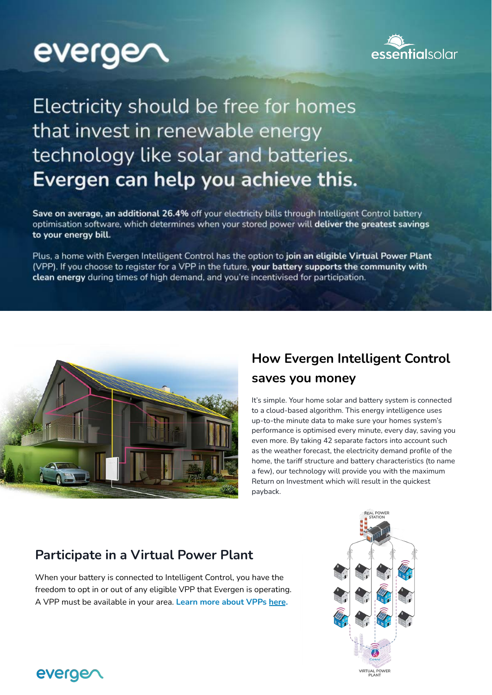# everge



# Electricity should be free for homes that invest in renewable energy technology like solar and batteries. Evergen can help you achieve this.

Save on average, an additional 26.4% off your electricity bills through Intelligent Control battery optimisation software, which determines when your stored power will deliver the greatest savings to your energy bill.

Plus, a home with Evergen Intelligent Control has the option to join an eligible Virtual Power Plant (VPP). If you choose to register for a VPP in the future, your battery supports the community with clean energy during times of high demand, and you're incentivised for participation.



## **How Evergen Intelligent Control saves you money**

It's simple. Your home solar and battery system is connected to a cloud-based algorithm. This energy intelligence uses up-to-the minute data to make sure your homes system's performance is optimised every minute, every day, saving you even more. By taking 42 separate factors into account such as the weather forecast, the electricity demand profile of the home, the tariff structure and battery characteristics (to name a few), our technology will provide you with the maximum Return on Investment which will result in the quickest payback.

### **Participate in a Virtual Power Plant**

When your battery is connected to Intelligent Control, you have the freedom to opt in or out of any eligible VPP that Evergen is operating. A VPP must be available in your area. **Learn more about VPPs [here](https://youtu.be/lA9BJVViOEg).**